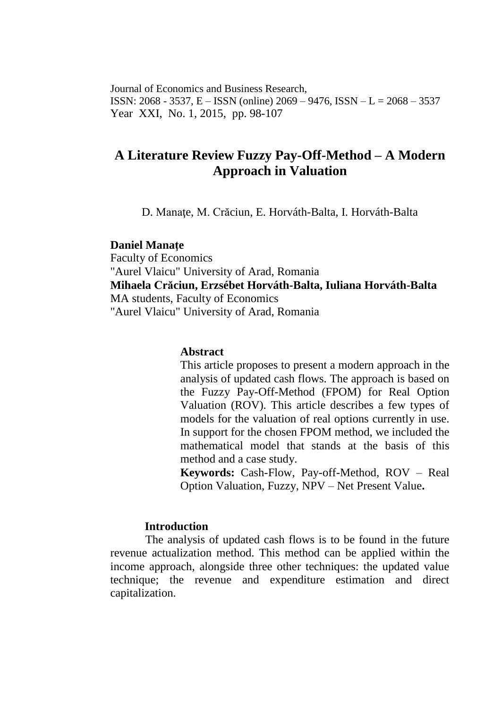Journal of Economics and Business Research, ISSN: 2068 - 3537, E – ISSN (online) 2069 – 9476, ISSN – L = 2068 – 3537 Year XXI, No. 1, 2015, pp. 98-107

# **A Literature Review Fuzzy Pay-Off-Method – A Modern Approach in Valuation**

D. Manaţe, M. Crăciun, E. Horváth-Balta, I. Horváth-Balta

#### **Daniel Manaţe**

Faculty of Economics "Aurel Vlaicu" University of Arad, Romania **Mihaela Crăciun, Erzsébet Horváth-Balta, Iuliana Horváth-Balta** MA students, Faculty of Economics "Aurel Vlaicu" University of Arad, Romania

## **Abstract**

This article proposes to present a modern approach in the analysis of updated cash flows. The approach is based on the Fuzzy Pay-Off-Method (FPOM) for Real Option Valuation (ROV). This article describes a few types of models for the valuation of real options currently in use. In support for the chosen FPOM method, we included the mathematical model that stands at the basis of this method and a case study.

**Keywords:** Cash-Flow, Pay-off-Method, ROV – Real Option Valuation, Fuzzy, NPV – Net Present Value**.**

## **Introduction**

The analysis of updated cash flows is to be found in the future revenue actualization method. This method can be applied within the income approach, alongside three other techniques: the updated value technique; the revenue and expenditure estimation and direct capitalization.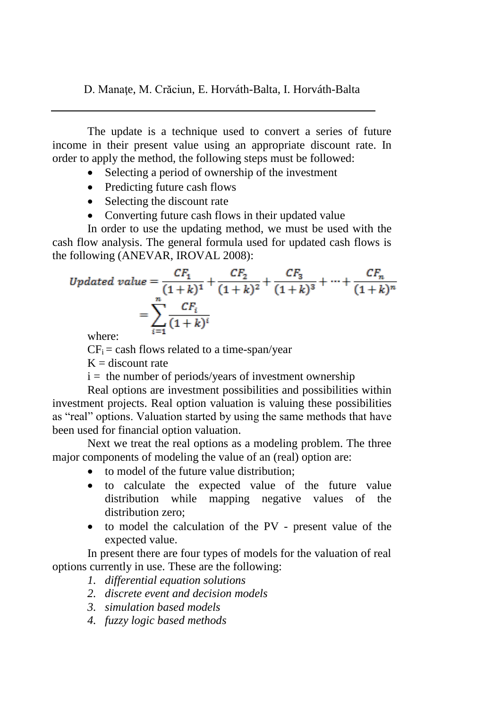D. Manaţe, M. Crăciun, E. Horváth-Balta, I. Horváth-Balta

The update is a technique used to convert a series of future income in their present value using an appropriate discount rate. In order to apply the method, the following steps must be followed:

- Selecting a period of ownership of the investment
- Predicting future cash flows
- Selecting the discount rate
- Converting future cash flows in their updated value

In order to use the updating method, we must be used with the cash flow analysis. The general formula used for updated cash flows is the following (ANEVAR, IROVAL 2008):

$$
Update\ value = \frac{CF_1}{(1+k)^1} + \frac{CF_2}{(1+k)^2} + \frac{CF_3}{(1+k)^3} + \dots + \frac{CF_n}{(1+k)^n}
$$

$$
= \sum_{i=1}^n \frac{CF_i}{(1+k)^i}
$$
where:

where:

 $CF_i =$  cash flows related to a time-span/year

 $K =$  discount rate

 $i =$  the number of periods/years of investment ownership

Real options are investment possibilities and possibilities within investment projects. Real option valuation is valuing these possibilities as "real" options. Valuation started by using the same methods that have been used for financial option valuation.

Next we treat the real options as a modeling problem. The three major components of modeling the value of an (real) option are:

- to model of the future value distribution:
- to calculate the expected value of the future value distribution while mapping negative values of the distribution zero:
- to model the calculation of the PV present value of the expected value.

In present there are four types of models for the valuation of real options currently in use. These are the following:

- *1. differential equation solutions*
- *2. discrete event and decision models*
- *3. simulation based models*
- *4. fuzzy logic based methods*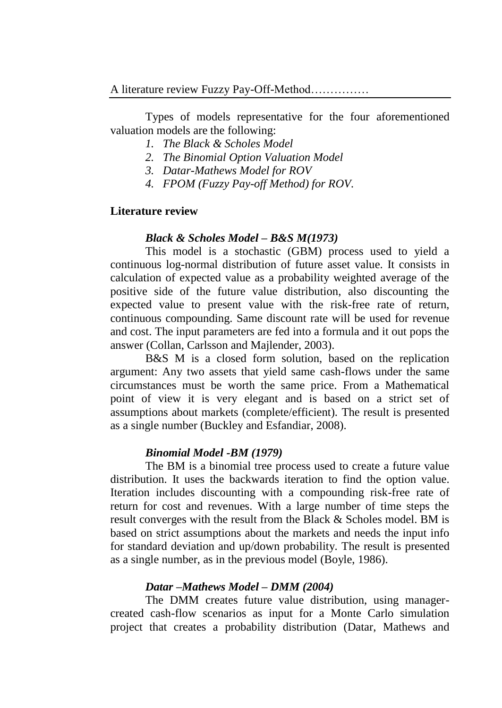Types of models representative for the four aforementioned valuation models are the following:

- *1. The Black & Scholes Model*
- *2. The Binomial Option Valuation Model*
- *3. Datar-Mathews Model for ROV*
- *4. FPOM (Fuzzy Pay-off Method) for ROV.*

# **Literature review**

## *Black & Scholes Model – B&S M(1973)*

This model is a stochastic (GBM) process used to yield a continuous log-normal distribution of future asset value. It consists in calculation of expected value as a probability weighted average of the positive side of the future value distribution, also discounting the expected value to present value with the risk-free rate of return, continuous compounding. Same discount rate will be used for revenue and cost. The input parameters are fed into a formula and it out pops the answer (Collan, Carlsson and Majlender, 2003).

B&S M is a closed form solution, based on the replication argument: Any two assets that yield same cash-flows under the same circumstances must be worth the same price. From a Mathematical point of view it is very elegant and is based on a strict set of assumptions about markets (complete/efficient). The result is presented as a single number (Buckley and Esfandiar, 2008).

## *Binomial Model -BM (1979)*

The BM is a binomial tree process used to create a future value distribution. It uses the backwards iteration to find the option value. Iteration includes discounting with a compounding risk-free rate of return for cost and revenues. With a large number of time steps the result converges with the result from the Black & Scholes model. BM is based on strict assumptions about the markets and needs the input info for standard deviation and up/down probability. The result is presented as a single number, as in the previous model (Boyle, 1986).

## *Datar –Mathews Model – DMM (2004)*

The DMM creates future value distribution, using managercreated cash-flow scenarios as input for a Monte Carlo simulation project that creates a probability distribution (Datar, Mathews and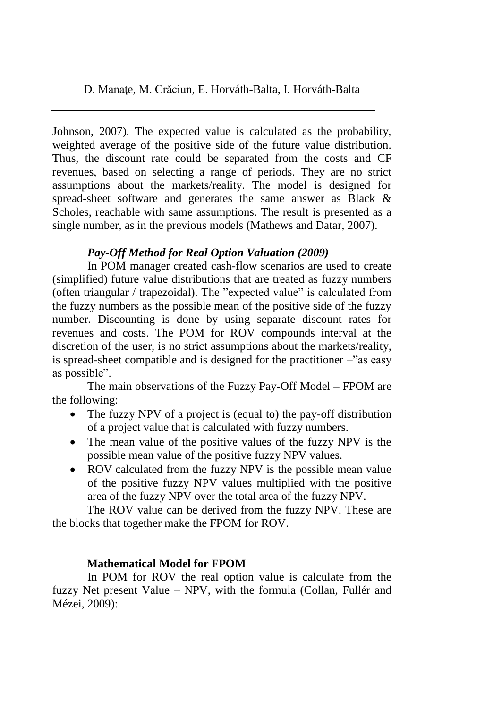D. Manaţe, M. Crăciun, E. Horváth-Balta, I. Horváth-Balta

Johnson, 2007). The expected value is calculated as the probability, weighted average of the positive side of the future value distribution. Thus, the discount rate could be separated from the costs and CF revenues, based on selecting a range of periods. They are no strict assumptions about the markets/reality. The model is designed for spread-sheet software and generates the same answer as Black & Scholes, reachable with same assumptions. The result is presented as a single number, as in the previous models (Mathews and Datar, 2007).

# *Pay-Off Method for Real Option Valuation (2009)*

In POM manager created cash-flow scenarios are used to create (simplified) future value distributions that are treated as fuzzy numbers (often triangular / trapezoidal). The "expected value" is calculated from the fuzzy numbers as the possible mean of the positive side of the fuzzy number. Discounting is done by using separate discount rates for revenues and costs. The POM for ROV compounds interval at the discretion of the user, is no strict assumptions about the markets/reality, is spread-sheet compatible and is designed for the practitioner –"as easy as possible".

The main observations of the Fuzzy Pay-Off Model – FPOM are the following:

- The fuzzy NPV of a project is (equal to) the pay-off distribution of a project value that is calculated with fuzzy numbers.
- The mean value of the positive values of the fuzzy NPV is the possible mean value of the positive fuzzy NPV values.
- ROV calculated from the fuzzy NPV is the possible mean value of the positive fuzzy NPV values multiplied with the positive area of the fuzzy NPV over the total area of the fuzzy NPV.

The ROV value can be derived from the fuzzy NPV. These are the blocks that together make the FPOM for ROV.

# **Mathematical Model for FPOM**

In POM for ROV the real option value is calculate from the fuzzy Net present Value – NPV, with the formula (Collan, Fullér and Mézei, 2009):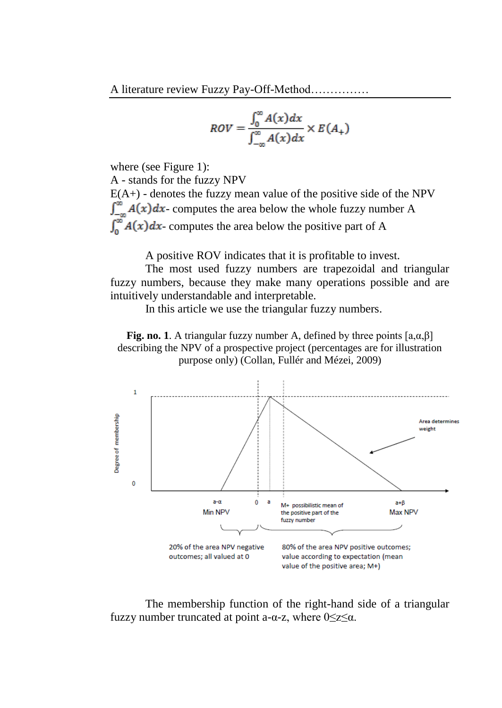$$
ROV = \frac{\int_0^\infty A(x)dx}{\int_{-\infty}^\infty A(x)dx} \times E(A_+)
$$

where (see Figure 1):

A - stands for the fuzzy NPV  $E(A+)$  - denotes the fuzzy mean value of the positive side of the NPV  $\int_{-\infty}^{\infty} A(x) dx$ - computes the area below the whole fuzzy number A  $\int_{0}^{\infty} A(x) dx$ - computes the area below the positive part of A

A positive ROV indicates that it is profitable to invest.

The most used fuzzy numbers are trapezoidal and triangular fuzzy numbers, because they make many operations possible and are intuitively understandable and interpretable.

In this article we use the triangular fuzzy numbers.

**Fig. no. 1**. A triangular fuzzy number A, defined by three points  $[a, \alpha, \beta]$ describing the NPV of a prospective project (percentages are for illustration purpose only) (Collan, Fullér and Mézei, 2009)



The membership function of the right-hand side of a triangular fuzzy number truncated at point a- $\alpha$ -z, where  $0 \le z \le \alpha$ .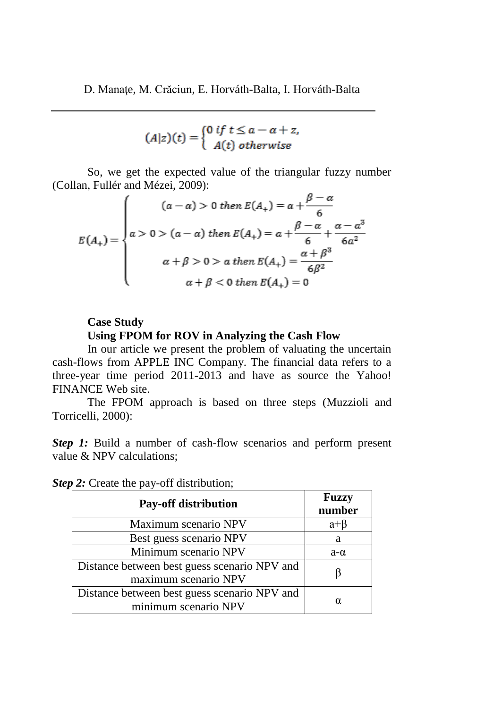$$
(A|z)(t) = \begin{cases} 0 & \text{if } t \le a - a + z, \\ A(t) & \text{otherwise} \end{cases}
$$

So, we get the expected value of the triangular fuzzy number (Collan, Fullér and Mézei, 2009):

$$
E(A_{+}) = \begin{cases} (a - a) > 0 \text{ then } E(A_{+}) = a + \frac{\beta - a}{6} \\ a > 0 > (a - a) \text{ then } E(A_{+}) = a + \frac{\beta - a}{6} + \frac{\alpha - a^{3}}{6a^{2}} \\ a + \beta > 0 > a \text{ then } E(A_{+}) = \frac{a + \beta^{3}}{6\beta^{2}} \\ a + \beta < 0 \text{ then } E(A_{+}) = 0 \end{cases}
$$

# **Case Study Using FPOM for ROV in Analyzing the Cash Flow**

In our article we present the problem of valuating the uncertain cash-flows from APPLE INC Company. The financial data refers to a three-year time period 2011-2013 and have as source the Yahoo! FINANCE Web site.

The FPOM approach is based on three steps (Muzzioli and Torricelli, 2000):

**Step 1:** Build a number of cash-flow scenarios and perform present value & NPV calculations;

| <b>Pay-off distribution</b>                                          | <b>Fuzzy</b><br>number |
|----------------------------------------------------------------------|------------------------|
| Maximum scenario NPV                                                 | $a + b$                |
| Best guess scenario NPV                                              | a                      |
| Minimum scenario NPV                                                 | $a-\alpha$             |
| Distance between best guess scenario NPV and<br>maximum scenario NPV |                        |
| Distance between best guess scenario NPV and<br>minimum scenario NPV | $\alpha$               |

|  |  |  |  | Step 2: Create the pay-off distribution; |
|--|--|--|--|------------------------------------------|
|--|--|--|--|------------------------------------------|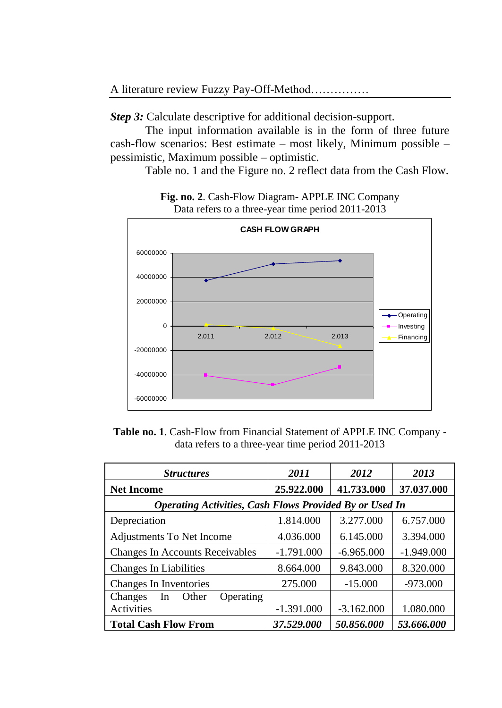*Step 3:* Calculate descriptive for additional decision-support.

The input information available is in the form of three future cash-flow scenarios: Best estimate – most likely, Minimum possible – pessimistic, Maximum possible – optimistic.

Table no. 1 and the Figure no. 2 reflect data from the Cash Flow.



**Fig. no. 2**. Cash-Flow Diagram- APPLE INC Company Data refers to a three-year time period 2011-2013

**Table no. 1**. Cash-Flow from Financial Statement of APPLE INC Company data refers to a three-year time period 2011-2013

| <b>Structures</b>                                              | 2011         | 2012         | 2013         |  |
|----------------------------------------------------------------|--------------|--------------|--------------|--|
| <b>Net Income</b>                                              | 25.922.000   | 41.733.000   | 37.037.000   |  |
| <b>Operating Activities, Cash Flows Provided By or Used In</b> |              |              |              |  |
| Depreciation                                                   | 1.814.000    | 3.277.000    | 6.757.000    |  |
| Adjustments To Net Income                                      | 4.036.000    | 6.145.000    | 3.394.000    |  |
| <b>Changes In Accounts Receivables</b>                         | $-1.791.000$ | $-6.965.000$ | $-1.949.000$ |  |
| <b>Changes In Liabilities</b>                                  | 8.664.000    | 9.843.000    | 8.320.000    |  |
| Changes In Inventories                                         | 275.000      | $-15.000$    | $-973.000$   |  |
| Changes<br>In<br>Operating<br>Other                            |              |              |              |  |
| Activities                                                     | $-1.391.000$ | $-3.162.000$ | 1.080.000    |  |
| <b>Total Cash Flow From</b>                                    | 37.529.000   | 50.856.000   | 53.666.000   |  |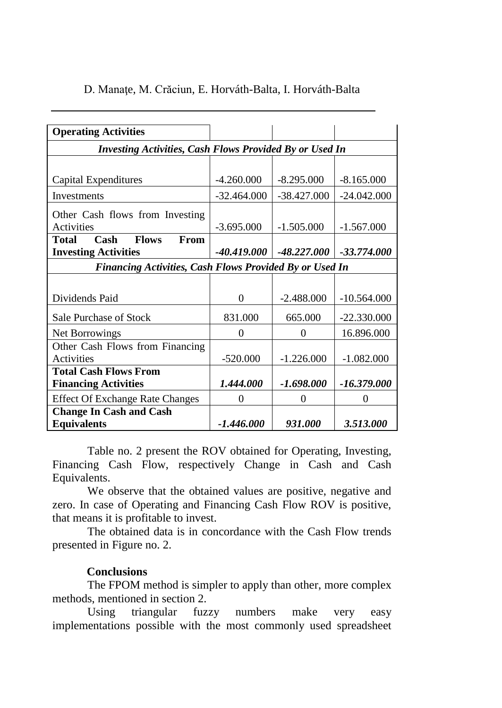| <b>Operating Activities</b>                                    |                                                                |                               |               |  |  |  |
|----------------------------------------------------------------|----------------------------------------------------------------|-------------------------------|---------------|--|--|--|
|                                                                | <b>Investing Activities, Cash Flows Provided By or Used In</b> |                               |               |  |  |  |
|                                                                |                                                                |                               |               |  |  |  |
| Capital Expenditures                                           | $-4.260.000$                                                   | $-8.295.000$                  | $-8.165.000$  |  |  |  |
| Investments                                                    | $-32.464.000$                                                  | $-38.427.000$                 | $-24.042.000$ |  |  |  |
| Other Cash flows from Investing                                |                                                                |                               |               |  |  |  |
| Activities                                                     | $-3.695.000$                                                   | $-1.505.000$                  | $-1.567.000$  |  |  |  |
| <b>Flows</b><br>From<br><b>Total</b><br>Cash                   |                                                                |                               |               |  |  |  |
| <b>Investing Activities</b>                                    |                                                                | $-40.419.000$   $-48.227.000$ | $-33.774.000$ |  |  |  |
| <b>Financing Activities, Cash Flows Provided By or Used In</b> |                                                                |                               |               |  |  |  |
|                                                                |                                                                |                               |               |  |  |  |
| Dividends Paid                                                 | 0                                                              | $-2.488,000$                  | $-10.564.000$ |  |  |  |
| <b>Sale Purchase of Stock</b>                                  | 831.000                                                        | 665.000                       | $-22.330.000$ |  |  |  |
| Net Borrowings                                                 | 0                                                              | 0                             | 16.896.000    |  |  |  |
| Other Cash Flows from Financing                                |                                                                |                               |               |  |  |  |
| Activities                                                     | $-520.000$                                                     | $-1.226.000$                  | $-1.082.000$  |  |  |  |
| <b>Total Cash Flows From</b>                                   |                                                                |                               |               |  |  |  |
| <b>Financing Activities</b>                                    | 1.444.000                                                      | -1.698.000                    | -16.379.000   |  |  |  |
| <b>Effect Of Exchange Rate Changes</b>                         | 0                                                              | $\Omega$                      | 0             |  |  |  |
| <b>Change In Cash and Cash</b>                                 |                                                                |                               |               |  |  |  |
| <b>Equivalents</b>                                             | -1.446.000                                                     | 931.000                       | 3.513.000     |  |  |  |

# D. Manaţe, M. Crăciun, E. Horváth-Balta, I. Horváth-Balta

Table no. 2 present the ROV obtained for Operating, Investing, Financing Cash Flow, respectively Change in Cash and Cash Equivalents.

We observe that the obtained values are positive, negative and zero. In case of Operating and Financing Cash Flow ROV is positive, that means it is profitable to invest.

The obtained data is in concordance with the Cash Flow trends presented in Figure no. 2.

## **Conclusions**

The FPOM method is simpler to apply than other, more complex methods, mentioned in section 2.

Using triangular fuzzy numbers make very easy implementations possible with the most commonly used spreadsheet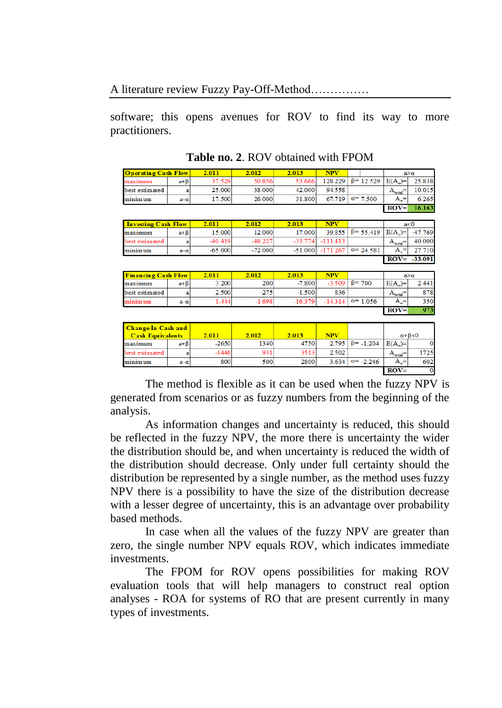software; this opens avenues for ROV to find its way to more practitioners.

| $\sqrt{\text{Operating Cash Flow}}$ |            | 2.011  | 2.012  | 2.013<br><b>NPV</b> |                                                    |  | $a > \alpha$     |             |        |
|-------------------------------------|------------|--------|--------|---------------------|----------------------------------------------------|--|------------------|-------------|--------|
| maximum                             | $a + B$    | 37.529 | 50.856 | 53.666              | $128.229$   $\beta$ = 12.529   E(A <sub>+</sub> )= |  |                  |             | 25.838 |
| best estimated                      | a          | 25,000 | 38,000 | 42,000              | 94.558                                             |  |                  | $A_{total}$ | 10.015 |
| minimum                             | $a-\alpha$ | 17.500 | 26,000 | 31.800              | 67.719                                             |  | $\alpha = 7.500$ | $A =$       | 6.265  |
|                                     |            |        |        |                     |                                                    |  |                  | $ROV =$     | 6.163  |

**Table no. 2**. ROV obtained with FPOM

| <b>Investing Cash Flow</b> |            | 2.011     | 2.012     | 2.013     | <b>NPV</b> |                                        |             | a<0             |
|----------------------------|------------|-----------|-----------|-----------|------------|----------------------------------------|-------------|-----------------|
| maximum                    | $a + B$    | 15.000    | 12.000    | 17.000    |            | $39.855$ $\beta$ = 55.419   E(A)=      |             | -47.769         |
| best estimated             |            | $-40.419$ | $-48.227$ | $-33.774$ | $-111.413$ |                                        | $A_{total}$ | 40.000          |
| minimum                    | $a-\alpha$ | $-65.000$ | $-72.000$ |           |            | $-51.000$ $-171.267$ $\alpha$ = 24.581 | $A_i =$     | 27.710          |
|                            |            |           |           |           |            |                                        |             | $ROV = -33.091$ |

| <b>Financing Cash Flow</b> |            | 2.011 | 2.012    | 2.013     | <b>NPV</b> |                          | $a > \alpha$ |       |
|----------------------------|------------|-------|----------|-----------|------------|--------------------------|--------------|-------|
| maximum                    | a+B        | 3.200 | 200      | $-7.800$  |            | $-3.509$   $\beta$ = 700 | $E(A_1)=$    | 2.441 |
| best estimated             | a          | 2.500 | $-275$   | $-1.500$  | 836        |                          | $A_{total}$  | 878   |
| minimum                    | $a-\alpha$ | 1.444 | $-1.698$ | $-16.379$ | $-14.314$  | $\alpha$ = 1.056         | $A_i =$      | 350   |
|                            |            |       |          |           |            |                          | $ROV =$      | 973   |

| <b>Change In Cash and</b><br><b>Cash Equivalents</b> |            | 2.011   | 2.012 | 2.013 | <b>NPV</b> |                          |             | $\alpha + \beta \leq 0$ |
|------------------------------------------------------|------------|---------|-------|-------|------------|--------------------------|-------------|-------------------------|
| maximum                                              | a+B        | $-2650$ | 1340  | 4750  |            | $2.795$ $\beta$ = -1.204 | $E(A_+) =$  |                         |
| best estimated                                       |            | $-1446$ | 931   | 3513  | 2.502      |                          | $A_{total}$ | 1725                    |
| minimum                                              | $a-\alpha$ | 800     | 500   | 2800  | 3.634      | $\alpha = -2.246$        | $A_1 =$     | 602                     |
|                                                      |            |         |       |       |            |                          | $ROV=$      |                         |

The method is flexible as it can be used when the fuzzy NPV is generated from scenarios or as fuzzy numbers from the beginning of the analysis.

As information changes and uncertainty is reduced, this should be reflected in the fuzzy NPV, the more there is uncertainty the wider the distribution should be, and when uncertainty is reduced the width of the distribution should decrease. Only under full certainty should the distribution be represented by a single number, as the method uses fuzzy NPV there is a possibility to have the size of the distribution decrease with a lesser degree of uncertainty, this is an advantage over probability based methods.

In case when all the values of the fuzzy NPV are greater than zero, the single number NPV equals ROV, which indicates immediate investments.

The FPOM for ROV opens possibilities for making ROV evaluation tools that will help managers to construct real option analyses - ROA for systems of RO that are present currently in many types of investments.